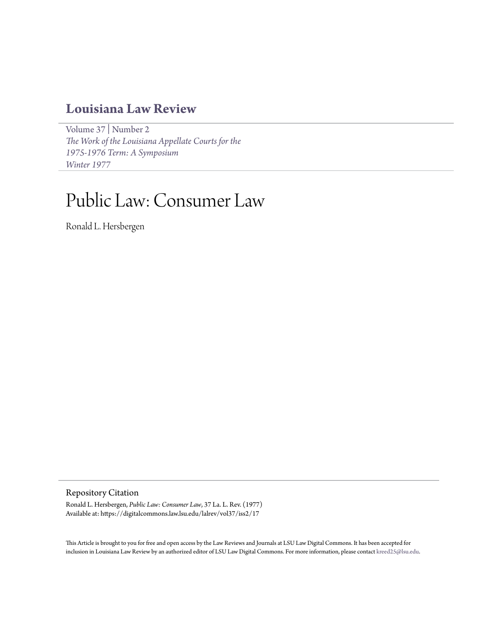# **[Louisiana Law Review](https://digitalcommons.law.lsu.edu/lalrev)**

[Volume 37](https://digitalcommons.law.lsu.edu/lalrev/vol37) | [Number 2](https://digitalcommons.law.lsu.edu/lalrev/vol37/iss2) *[The Work of the Louisiana Appellate Courts for the](https://digitalcommons.law.lsu.edu/lalrev/vol37/iss2) [1975-1976 Term: A Symposium](https://digitalcommons.law.lsu.edu/lalrev/vol37/iss2) [Winter 1977](https://digitalcommons.law.lsu.edu/lalrev/vol37/iss2)*

# Public Law: Consumer Law

Ronald L. Hersbergen

Repository Citation

Ronald L. Hersbergen, *Public Law: Consumer Law*, 37 La. L. Rev. (1977) Available at: https://digitalcommons.law.lsu.edu/lalrev/vol37/iss2/17

This Article is brought to you for free and open access by the Law Reviews and Journals at LSU Law Digital Commons. It has been accepted for inclusion in Louisiana Law Review by an authorized editor of LSU Law Digital Commons. For more information, please contact [kreed25@lsu.edu](mailto:kreed25@lsu.edu).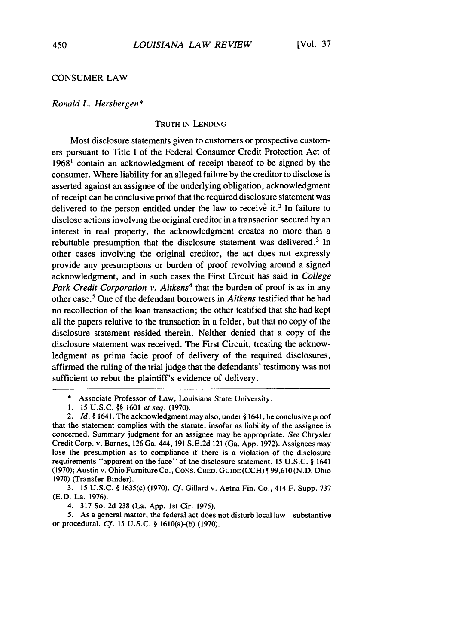### CONSUMER LAW

#### *Ronald L. Hersbergen\**

### TRUTH IN LENDING

Most disclosure statements given to customers or prospective customers pursuant to Title I of the Federal Consumer Credit Protection Act of 19681 contain an acknowledgment of receipt thereof to be signed by the consumer. Where liability for an alleged failure by the creditor to disclose is asserted against an assignee of the underlying obligation, acknowledgment of receipt can be conclusive proof that the required disclosure statement was delivered to the person entitled under the law to receive it.<sup>2</sup> In failure to disclose actions involving the original creditor in a transaction secured by an interest in real property, the acknowledgment creates no more than a rebuttable presumption that the disclosure statement was delivered.<sup>3</sup> In other cases involving the original creditor, the act does not expressly provide any presumptions or burden of proof revolving around a signed acknowledgment, and in such cases the First Circuit has said in *College* Park Credit Corporation v. Aitkens<sup>4</sup> that the burden of proof is as in any other case.5 One of the defendant borrowers in *Aitkens* testified that he had no recollection of the loan transaction; the other testified that she had kept all the papers relative to the transaction in a folder, but that no copy of the disclosure statement resided therein. Neither denied that a copy of the disclosure statement was received. The First Circuit, treating the acknowledgment as prima facie proof of delivery of the required disclosures, affirmed the ruling of the trial judge that the defendants' testimony was not sufficient to rebut the plaintiff's evidence of delivery.

3. 15 U.S.C. § 1635(c) (1970). *Cf.* Gillard v. Aetna Fin. Co., 414 F. Supp. 737 (E.D. La. 1976).

4. 317 So. 2d 238 (La. App. 1st Cir. 1975).

5. As a general matter, the federal act does not disturb local law-substantive or procedural. *Cf.* **15 U.S.C.** § 1610(a)-(b) **(1970).**

<sup>\*</sup> Associate Professor of Law, Louisiana State University.

<sup>1. 15</sup> U.S.C. §§ 1601 et seq. (1970).

<sup>2.</sup> *Id.* § 1641. The acknowledgment may also, under § 1641, be conclusive proof that the statement complies with the statute, insofar as liability of the assignee is concerned. Summary judgment for an assignee may be appropriate. *See* Chrysler Credit Corp. v. Barnes, 126 Ga. 444, 191 S.E.2d 121 (Ga. App. 1972). Assignees may lose the presumption as to compliance if there is a violation of the disclosure requirements "apparent on the face" of the disclosure statement. 15 U.S.C. § 1641 (1970); Austin v. Ohio Furniture Co., CONS. CRED. **GUIDE** (CCH) 99,610 (N.D. Ohio 1970) (Transfer Binder).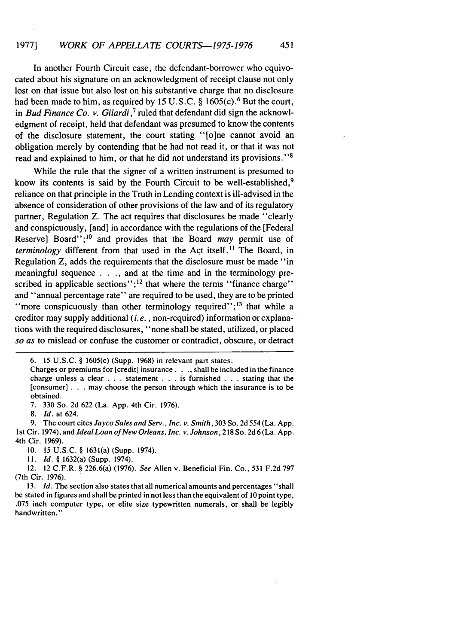In another Fourth Circuit case, the defendant-borrower who equivocated about his signature on an acknowledgment of receipt clause not only lost on that issue but also lost on his substantive charge that no disclosure had been made to him, as required by 15 U.S.C.  $\S$  1605(c).<sup>6</sup> But the court, in *Bud Finance Co. v. Gilardi*,<sup>7</sup> ruled that defendant did sign the acknowledgment of receipt, held that defendant was presumed to know the contents of the disclosure statement, the court stating "[o]ne cannot avoid an obligation merely by contending that he had not read it, or that it was not read and explained to him, or that he did not understand its provisions."<sup>8</sup>

While the rule that the signer of a written instrument is presumed to know its contents is said by the Fourth Circuit to be well-established,<sup>9</sup> reliance on that principle in the Truth in Lending context is ill-advised in the absence of consideration of other provisions of the law and of its regulatory partner, Regulation Z. The act requires that disclosures be made "clearly and conspicuously, [and] in accordance with the regulations of the [Federal Reserve] Board";<sup>10</sup> and provides that the Board *may* permit use of *terminology* different from that used in the Act itself.<sup>11</sup> The Board, in Regulation Z, adds the requirements that the disclosure must be made "in meaningful sequence . . ., and at the time and in the terminology prescribed in applicable sections"; $^{12}$  that where the terms "finance charge" and "annual percentage rate" are required to be used, they are to be printed "more conspicuously than other terminology required";<sup>13</sup> that while a creditor may supply additional *(i. e.,* non-required) information or explanations with the required disclosures, "none shall be stated, utilized, or placed *so as* to mislead or confuse the customer or contradict, obscure, or detract

7. 330 So. 2d 622 (La. App. 4th Cir. 1976).

9. The court cites *Jayco Sales and Serv., Inc. v. Smith,* 303 So. 2d 554 (La. App.

1 st Cir. 1974), and *IdealLoan of New Orleans, Inc. v. Johnson,* 218 So. 2d 6 (La. App. 4th Cir. 1969).

**11.** *Id.* § 1632(a) (Supp. 1974).

12. 12 C.F.R. § 226.6(a) (1976). *See* Allen v. Beneficial Fin. Co., 531 F.2d 797 (7th Cir. 1976).

<sup>6. 15</sup> U.S.C. § 1605(c) (Supp. 1968) in relevant part states:

Charges or premiums for [credit] insurance **... ,** shall be included in the finance charge unless a clear . . . statement . . . is furnished . . . stating that the [consumer] . . . may choose the person through which the insurance is to be obtained.

<sup>8.</sup> Id. at 624.

<sup>10. 15</sup> U.S.C. § 1631(a) (Supp. 1974).

*<sup>13.</sup> Id.* The section also states that all numerical amounts and percentages "shall be stated in figures and shall be printed in not less than the equivalent of **10** point type, .075 inch computer type, or elite size typewritten numerals, or shall be legibly handwritten."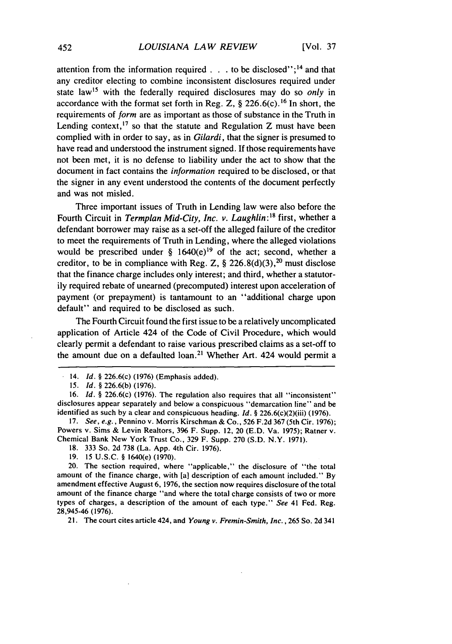attention from the information required  $\ldots$  to be disclosed";<sup>14</sup> and that any creditor electing to combine inconsistent disclosures required under state law<sup>15</sup> with the federally required disclosures may do so *only* in accordance with the format set forth in Reg. Z,  $\S$  226.6(c).<sup>16</sup> In short, the requirements of form are as important as those of substance in the Truth in Lending context,  $17$  so that the statute and Regulation Z must have been complied with in order to say, as in *Gilardi,* that the signer is presumed to have read and understood the instrument signed. If those requirements have not been met, it is no defense to liability under the act to show that the document in fact contains the *information* required to be disclosed, or that the signer in any event understood the contents of the document perfectly and was not misled.

Three important issues of Truth in Lending law were also before the Fourth Circuit in *Termplan Mid-City, Inc. v. Laughlin:'8* first, whether a defendant borrower may raise as a set-off the alleged failure of the creditor to meet the requirements of Truth in Lending, where the alleged violations would be prescribed under §  $1640(e)^{19}$  of the act; second, whether a creditor, to be in compliance with Reg. Z,  $\S$  226.8(d)(3),<sup>20</sup> must disclose that the finance charge includes only interest; and third, whether a statutorily required rebate of unearned (precomputed) interest upon acceleration of payment (or prepayment) is tantamount to an "additional charge upon default" and required to be disclosed as such.

The Fourth Circuit found the first issue to be a relatively uncomplicated application of Article 424 of the Code of Civil Procedure, which would clearly permit a defendant to raise various prescribed claims as a set-off to the amount due on a defaulted loan.<sup>21</sup> Whether Art. 424 would permit a

17. See, *e.g.,* Pennino v. Morris Kirschman & Co., 526 F.2d 367 (5th Cir. 1976); Powers v. Sims & Levin Realtors, 396 F. Supp. 12, 20 (E.D. Va. 1975); Ratner v. Chemical Bank New York Trust Co., 329 F. Supp. 270 (S.D. N.Y. 1971).

18. 333 So. 2d 738 (La. App. 4th Cir. 1976).

**19.** 15 U.S.C. § 1640(e) (1970).

20. The section required, where "applicable," the disclosure of "the total amount of the finance charge, with [a] description of each amount included." By amendment effective August 6, 1976, the section now requires disclosure of the total amount of the finance charge "and where the total charge consists of two or more types of charges, a description of the amount of each type." *See* 41 Fed. Reg. 28,945-46 (1976).

21. The court cites article 424, and *Young v. Fremin-Smith, Inc.,* 265 So. 2d 341

<sup>14.</sup> *Id.* § 226.6(c) (1976) (Emphasis added).

*<sup>15.</sup> Id. §* 226.6(b) (1976).

<sup>16.</sup> *Id. §* 226.6(c) (1976). The regulation also requires that all "inconsistent" disclosures appear separately and below a conspicuous "demarcation line" and be identified as such by a clear and conspicuous heading. *Id.* § 226.6(c)(2)(iii) (1976).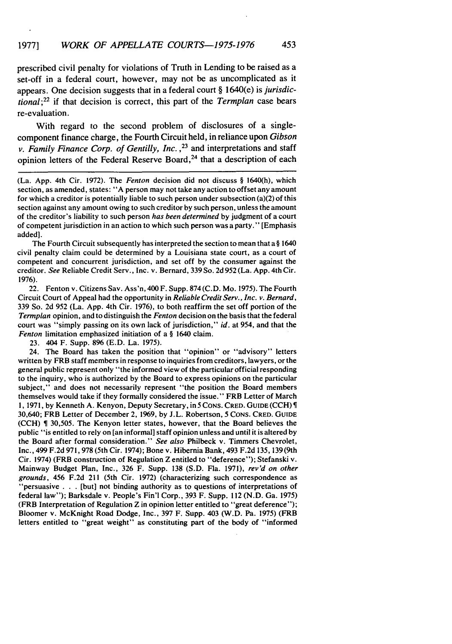prescribed civil penalty for violations of Truth in Lending to be raised as a set-off in a federal court, however, may not be as uncomplicated as it appears. One decision suggests that in a federal court § 1640(e) is *jurisdictional;22* if that decision is correct, this part of the *Termplan* case bears re-evaluation.

With regard to the second problem of disclosures of a singlecomponent finance charge, the Fourth Circuit held, in reliance upon *Gibson v. Family Finance Corp. of Gentilly, Inc.*,<sup>23</sup> and interpretations and staff opinion letters of the Federal Reserve Board, $24$  that a description of each

(La. App. 4th Cir. 1972). The *Fenton* decision did not discuss § 1640(h), which section, as amended, states: "A person may not take any action to offset any amount for which a creditor is potentially liable to such person under subsection (a)(2) of this section against any amount owing to such creditor by such person, unless the amount of the creditor's liability to such person *has been determined* by judgment of a court of competent jurisdiction in an action to which such person was a party." [Emphasis added].

The Fourth Circuit subsequently has interpreted the section to mean that a § 1640 civil penalty claim could be determined by a Louisiana state court, as a court of competent and concurrent jurisdiction, and set off by the consumer against the creditor. *See* Reliable Credit Serv., Inc. v. Bernard, 339 So. 2d 952 (La. App. 4th Cir. 1976).

22. Fenton v. Citizens Sav. Ass'n, 400 F. Supp. 874 (C.D. Mo. 1975). The Fourth Circuit Court of Appeal had the opportunity in *Reliable Credit Serv., Inc. v. Bernard,* 339 So. 2d 952 (La. App. 4th Cir. 1976), to both reaffirm the set off portion of the *Termplan* opinion, and to distinguish the *Fenton* decision on the basis that the federal court was "simply passing on its own lack of jurisdiction," *id.* at 954, and that the *Fenton limitation emphasized initiation of a § 1640 claim.* 

23. 404 F. Supp. 896 (E.D. La. 1975).

24. The Board has taken the position that "opinion" or "advisory" letters written by FRB staff members in response to inquiries from creditors, lawyers, or the general public represent only "the informed view of the particular official responding to the inquiry, who is authorized by the Board to express opinions on the particular subject," and does not necessarily represent "the position the Board members themselves would take if they formally considered the issue." FRB Letter of March 1, 1971, by Kenneth **A.** Kenyon, Deputy Secretary, in **5 CONS.** CRED. **GUIDE** (CCH) 30,640; FRB Letter of December 2, **1969, by** J.L. Robertson, **5** CONS. CRED. **GUIDE** (CCH) 30,505. The Kenyon letter states, however, that the Board believes the public "is entitled to rely on [an informal] staff opinion unless and until it is altered **by** the Board after formal consideration." *See also* Philbeck v. Timmers Chevrolet, Inc., 499 F.2d **971,978** (5th Cir. 1974); Bone v. Hibernia Bank, 493 **F.2d** 135,139(9th Cir. 1974) (FRB construction of Regulation Z entitled to "deference"); Stefanski v. Mainway Budget Plan, Inc., 326 F. Supp. **138** (S.D. Fla. 1971), *rev'd on other grounds,* 456 **F.2d** 211 (5th Cir. 1972) (characterizing such correspondence as "persuasive . **.** .[but] not binding authority as to questions of interpretations of federal law"); Barksdale v. People's Fin'l Corp., **393** F. Supp. 112 (N.D. Ga. 1975) (FRB Interpretation of Regulation Z in opinion letter entitled to "great deference"); Bloomer v. McKnight Road Dodge, Inc., **397** F. Supp. 403 (W.D. Pa. 1975) (FRB letters entitled to "great weight" as constituting part of the body of "informed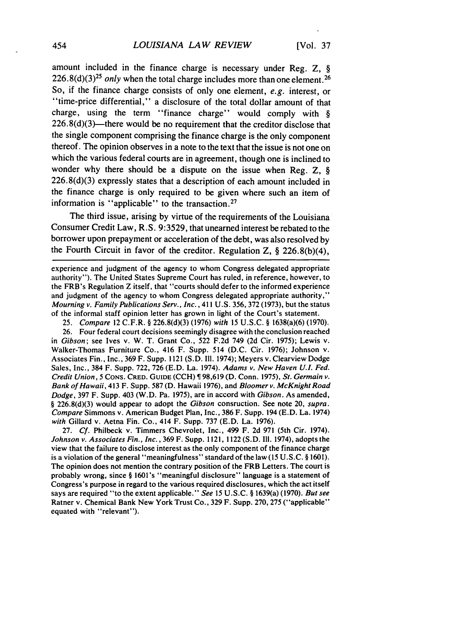amount included in the finance charge is necessary under Reg. Z, §  $226.8(d)(3)^{25}$  only when the total charge includes more than one element.<sup>26</sup> So, if the finance charge consists of only one element, e.g. interest, or "time-price differential," a disclosure of the total dollar amount of that charge, using the term "finance charge" would comply with §  $226.8(d)(3)$ —there would be no requirement that the creditor disclose that the single component comprising the finance charge is the only component thereof. The opinion observes in a note to the text that the issue is not one on which the various federal courts are in agreement, though one is inclined to wonder why there should be a dispute on the issue when Reg. Z, § 226.8(d)(3) expressly states that a description of each amount included in the finance charge is only required to be given where such an item of information is "applicable" to the transaction.<sup>27</sup>

The third issue, arising by virtue of the requirements of the Louisiana Consumer Credit Law, R.S. 9:3529, that unearned interest be rebated to the borrower upon prepayment or acceleration of the debt, was also resolved by the Fourth Circuit in favor of the creditor. Regulation Z, § 226.8(b)(4),

experience and judgment of the agency to whom Congress delegated appropriate authority"). The United States Supreme Court has ruled, in reference, however, to the FRB's Regulation Z itself, that "courts should defer to the informed experience and judgment of the agency to whom Congress delegated appropriate authority," *Mourning v. Family Publications Serv., Inc.,* 411 U.S. 356, 372 (1973), but the status of the informal staff opinion letter has grown in light of the Court's statement.

25. *Compare* 12 C.F.R. § 226.8(d)(3) (1976) *with* 15 U.S.C. § 1638(a)(6) (1970).

26. Four federal court decisions seemingly disagree with the conclusion reached in *Gibson;* see Ives v. W. T. Grant Co., 522 F.2d 749 (2d Cir. 1975); Lewis v. Walker-Thomas Furniture Co., 416 F. Supp. 514 (D.C. Cir. 1976); Johnson v. Associates Fin., Inc., 369 F. Supp. 1121 (S.D. III. 1974); Meyers v. Clearview Dodge Sales, Inc., 384 F. Supp. 722, 726 (E.D. La. 1974). *Adams v. New Haven* **U.L** *Fed. Credit Union, 5* **CONS. CRED. GUIDE** (CCH) 98,619 **(D.** Conn. 1975), *St. Germain v. Bank of Ha waii,* 413 F. Supp. 587 (D. Hawaii 1976), and *Bloomer v. McKnight Road Dodge,* 397 F. Supp. 403 (W.D. Pa. 1975), are in accord with *Gibson.* As amended, § 226.8(d)(3) would appear to adopt the *Gibson* consruction. See note 20, *supra. Compare* Simmons v. American Budget Plan, Inc., 386 F. Supp. 194 (E.D. La. 1974) *with* Gillard v. Aetna Fin. Co., 414 F. Supp. 737 (E.D. La. 1976).

27. *Cf.* Philbeck v. Timmers Chevrolet, Inc., 499 F. 2d 971 (5th Cir. 1974). *Johnson v. Associates Fin., Inc.,* 369 F. Supp. 1121, 1122 (S.D. Ill. 1974), adopts the view that the failure to disclose interest as the only component of the finance charge is a violation of the general "meaningfulness" standard of the law (15 U.S.C. § 1601). The opinion does not mention the contrary position of the FRB Letters. The court is probably wrong, since § 1601's "meaningful disclosure" language is a statement of Congress's purpose in regard to the various required disclosures, which the act itself says are required "to the extent applicable." *See* 15 U.S.C. § 1639(a) (1970). *But see* Ratner v. Chemical Bank New York Trust Co., 329 F. Supp. 270, 275 ("applicable" equated with "relevant").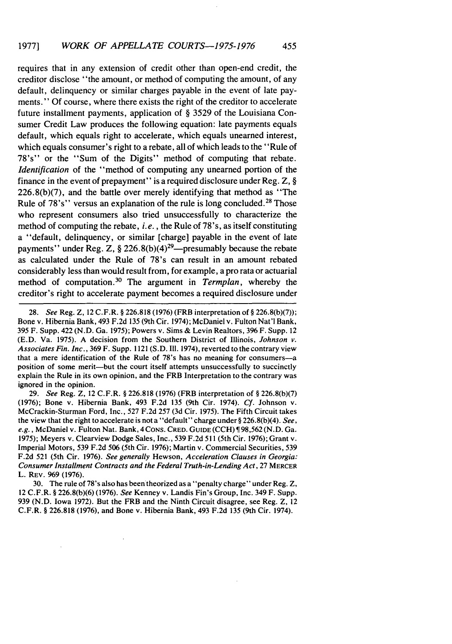requires that in any extension of credit other than open-end credit, the creditor disclose "the amount, or method of computing the amount, of any default, delinquency or similar charges payable in the event of late payments." Of course, where there exists the right of the creditor to accelerate future installment payments, application of § 3529 of the Louisiana Consumer Credit Law produces the following equation: late payments equals default, which equals right to accelerate, which equals unearned interest, which equals consumer's right to a rebate, all of which leads to the "Rule of 78's" or the "Sum of the Digits" method of computing that rebate. *Identification* of the "method of computing any unearned portion of the finance in the event of prepayment" is a required disclosure under Reg. Z, §  $226.8(b)(7)$ , and the battle over merely identifying that method as "The Rule of 78's" versus an explanation of the rule is long concluded.<sup>28</sup> Those who represent consumers also tried unsuccessfully to characterize the method of computing the rebate, *i.e.,* the Rule of 78's, as itself constituting a "default, delinquency, or similar [charge] payable in the event of late payments'' under Reg. Z,  $\S 226.8(b)(4)^{29}$ —presumably because the rebate as calculated under the Rule of 78's can result in an amount rebated considerably less than would result from, for example, a pro rata or actuarial method of computation. 30 The argument in *Termplan,* whereby the creditor's right to accelerate payment becomes a required disclosure under

29. *See* Reg. Z, 12 C.F.R. § 226.818 (1976) (FRB interpretation of § 226.8(b)(7) (1976); Bone v. Hibernia Bank, 493 F.2d 135 (9th Cir. 1974). *Cf.* Johnson v. McCrackin-Sturman Ford, Inc., 527 F.2d 257 (3d Cir. 1975). The Fifth Circuit takes the view that the right to accelerate is nota "default" charge under§ 226.8(b)(4). *See, e.g.,* McDaniel v. Fulton Nat. Bank, 4CONS. CRED. GUIDE(CCH) 98,562 (N.D. Ga. 1975); Meyers v. Clearview Dodge Sales, Inc., 539 F.2d 511 (5th Cir. 1976); Grant v. Imperial Motors, 539 F.2d 506 (5th Cir. 1976); Martin v. Commercial Securities, 539 F.2d 521 (5th Cir. 1976). *See generally* Hewson, *Acceleration Clauses in Georgia: Consumer Installment Contracts and the Federal Truth-in-Lending Act,* 27 MERCER L. REV. 969 (1976).

30. The rule of 78's also has been theorized as a "penalty charge" under Reg. Z, 12 C.F.R. § 226.8(b)(6) (1976). *See* Kenney v. Landis Fin's Group, Inc. 349 F. Supp. 939 (N.D. Iowa 1972). But the FRB and the Ninth Circuit disagree, see Reg. Z, 12 C.F.R. § 226.818 (1976), and Bone v. Hibernia Bank, 493 F.2d 135 (9th Cir. 1974).

<sup>28.</sup> *See* Reg. Z, 12 C.F.R. § 226.818 (1976) (FRB interpretation of § 226.8(b)(7)); Bone v. Hibernia Bank, 493 F.2d 135 (9th Cir. 1974); McDaniel v. Fulton Nat'l Bank, 395 F. Supp. 422 (N.D. Ga. 1975); Powers v. Sims & Levin Realtors, 396 F. Supp. 12 (E.D. Va. 1975). A decision from the Southern District of Illinois, *Johnson v. Associates Fin. Inc.,* 369 F. Supp. 1121 (S.D. **I11.** 1974), reverted to the contrary view that a mere identification of the Rule of 78's has no meaning for consumers-a position of some merit-but the court itself attempts unsuccessfully to succinctly explain the Rule in its own opinion, and the FRB Interpretation to the contrary was ignored in the opinion.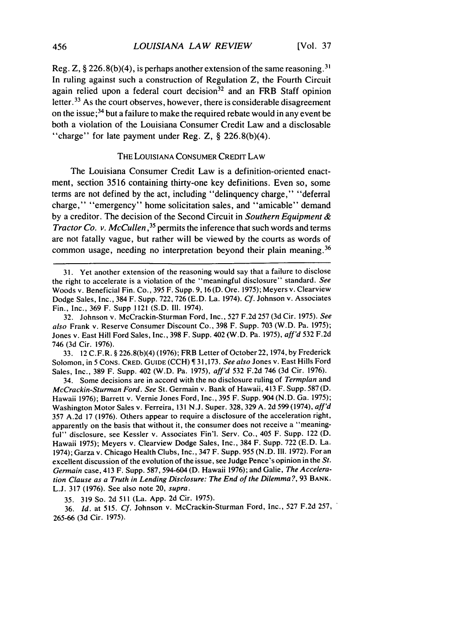Reg. Z, § 226.8(b)(4), is perhaps another extension of the same reasoning **.31** In ruling against such a construction of Regulation Z, the Fourth Circuit again relied upon a federal court decision $32$  and an FRB Staff opinion letter. 33 As the court observes, however, there is considerable disagreement on the issue;<sup>34</sup> but a failure to make the required rebate would in any event be both a violation of the Louisiana Consumer Credit Law and a disclosable "charge" for late payment under Reg. Z, § 226.8(b)(4).

#### THE LOUISIANA CONSUMER CREDIT LAW

The Louisiana Consumer Credit Law is a definition-oriented enactment, section 3516 containing thirty-one key definitions. Even so, some terms are not defined by the act, including "delinquency charge," "deferral charge," "emergency" home solicitation sales, and "amicable" demand by a creditor. The decision of the Second Circuit in *Southern Equipment & Tractor Co. v. McCullen,35* permits the inference that such words and terms are not fatally vague, but rather will be viewed by the courts as words of common usage, needing no interpretation beyond their plain meaning. <sup>36</sup>

32. Johnson v. McCrackin-Sturman Ford, Inc., 527 F.2d 257 (3d Cir. 1975). *See* also Frank v. Reserve Consumer Discount Co., 398 F. Supp. 703 (W.D. Pa. 1975); Jones v. East Hill Ford Sales, Inc., 398 F. Supp. 402 (W.D. Pa. 1975), aff'd 532 F.2d 746 (3d Cir. 1976).

33. 12 C.F.R. § 226.8(b)(4) (1976); FRB Letter of October 22, 1974, by Frederick Solomon, in **5** CONS. CRED. GUIDE (CCH) 31,173. *See also* Jones v. East Hills Ford Sales, Inc., 389 F. Supp. 402 (W.D. Pa. 1975), *aff'd* 532 F.2d 746 (3d Cir. 1976).

34. Some decisions are in accord with the no disclosure ruling of Termplan and McCrackin-Sturman Ford. See St. Germain v. Bank of Hawaii, 413 F. Supp. 587 (D. Hawaii 1976); Barrett v. Vernie Jones Ford, Inc., 395 F. Supp. 904 (N.D. Ga. 1975); Washington Motor Sales v. Ferreira, 131 N.J. Super. 328, 329 A. 2d 599 (1974), aff'd 357 A.2d 17 (1976). Others appear to require a disclosure of the acceleration right, apparently on the basis that without it, the consumer does not receive a "meaningful" disclosure, see Kessler v. Associates Fin'l. Serv. Co., 405 F. Supp. 122 (D. Hawaii 1975); Meyers v. Clearview Dodge Sales, Inc., 384 F. Supp. 722 (E.D. La. 1974); Garza v. Chicago Health Clubs, Inc., 347 F. Supp. 955 (N.D. III. 1972). For an excellent discussion of the evolution of the issue, see Judge Pence's opinion in the St. Germain case, 413 F. Supp. 587, 594-604 (D. Hawaii 1976); and Galie, The Acceleration Clause as a Truth in Lending Disclosure: The End of the Dilemma **?,** 93 BANK. L.J. 317 (1976). See also note 20, supra.

35. 319 So. 2d 511 (La. App. 2d Cir. 1975).

36. *Id.* at 515. *Cf.* Johnson v. McCrackin-Sturman Ford, Inc., 527 F.2d 257, 265-66 (3d Cir. 1975).

<sup>31.</sup> Yet another extension of the reasoning would say that a failure to disclose the right to accelerate is a violation of the "meaningful disclosure" standard. *See* Woods v. Beneficial Fin. Co., 395 F. Supp. 9, 16 (D. Ore. 1975); Meyers v. Clearview Dodge Sales, Inc., 384 F. Supp. 722, 726 (E.D. La. 1974). *Cf.* Johnson v. Associates Fin., Inc., 369 F. Supp 1121 (S.D. Il. 1974).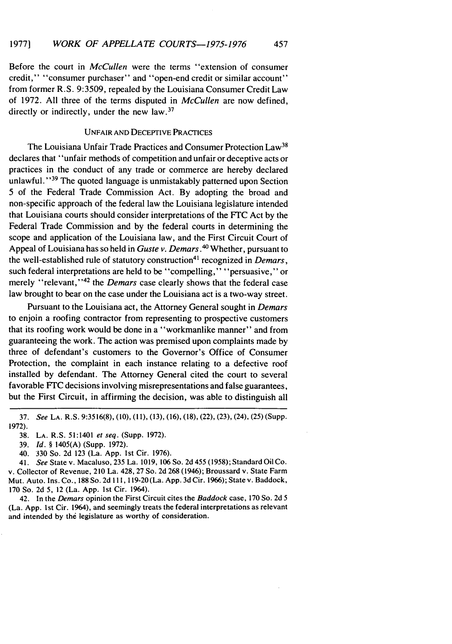Before the court in *McCullen* were the terms "extension of consumer credit," "consumer purchaser" and "open-end credit or similar account" from former R.S. 9:3509, repealed by the Louisiana Consumer Credit Law of 1972. All three of the terms disputed in *McCullen* are now defined, directly or indirectly, under the new law.<sup>37</sup>

## UNFAIR AND DECEPTIVE PRACTICES

The Louisiana Unfair Trade Practices and Consumer Protection Law<sup>38</sup> declares that "unfair methods of competition and unfair or deceptive acts or practices in the conduct of any trade or commerce are hereby declared unlawful."<sup>39</sup> The quoted language is unmistakably patterned upon Section 5 of the Federal Trade Commission Act. By adopting the broad and non-specific approach of the federal law the Louisiana legislature intended that Louisiana courts should consider interpretations of the FTC Act by the Federal Trade Commission and by the federal courts in determining the scope and application of the Louisiana law, and the First Circuit Court of Appeal of Louisiana has so held in *Guste v. Demars.4* Whether, pursuant to the well-established rule of statutory construction<sup>41</sup> recognized in *Demars*, such federal interpretations are held to be "compelling," "persuasive," or merely "relevant,"<sup>42</sup> the *Demars* case clearly shows that the federal case law brought to bear on the case under the Louisiana act is a two-way street.

Pursuant to the Louisiana act, the Attorney General sought in *Demars* to enjoin a roofing contractor from representing to prospective customers that its roofing work would be done in a "workmanlike manner" and from guaranteeing the work. The action was premised upon complaints made by three of defendant's customers to the Governor's Office of Consumer Protection, the complaint in each instance relating to a defective roof installed by defendant. The Attorney General cited the court to several favorable FTC decisions involving misrepresentations and false guarantees, but the First Circuit, in affirming the decision, was able to distinguish all

- 39. *Id. §* 1405(A) (Supp. 1972).
- 40. 330 So. 2d 123 (La. App. 1st Cir. 1976).

41. *See* State v. Macaluso, 235 La. 1019, 106 So. 2d 455 (1958); Standard Oil Co. v. Collector of Revenue, 210 La. 428, 27 So. 2d 268 (1946); Broussard v. State Farm Mut. Auto. Ins. Co., 188 So. 2d 111, 119-20 (La. App. 3d Cir. 1966); State v. Baddock, 170 So. 2d 5, 12 (La. App. 1st Cir. 1964).

42. In the *Demars* opinion the First Circuit cites the *Baddock* case, 170 So. 2d 5 (La. App. 1st Cir. 1964), and seemingly treats the federal interpretations as relevant and intended by the legislature as worthy of consideration.

<sup>37.</sup> *See* LA. R.S. 9:3516(8), (10), (11), (13), (16), (18), (22), (23), (24), (25) (Supp. 1972).

<sup>38.</sup> LA. R.S. 51:1401 *et seq.* (Supp. 1972).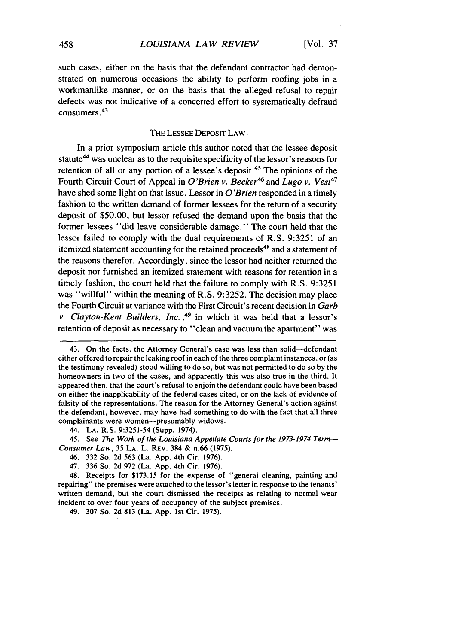such cases, either on the basis that the defendant contractor had demonstrated on numerous occasions the ability to perform roofing jobs in a workmanlike manner, or on the basis that the alleged refusal to repair defects was not indicative of a concerted effort to systematically defraud consumers 43

#### THE LESSEE DEPOSIT LAW

In a prior symposium article this author noted that the lessee deposit statute<sup>44</sup> was unclear as to the requisite specificity of the lessor's reasons for retention of all or any portion of a lessee's deposit.<sup>45</sup> The opinions of the Fourth Circuit Court of Appeal in *O'Brien v. Becker*<sup>46</sup> and *Lugo v. Vest*<sup>47</sup> have shed some light on that issue. Lessor in *O'Brien* responded in a timely fashion to the written demand of former lessees for the return of a security deposit of \$50.00, but lessor refused the demand upon the basis that the former lessees "did leave considerable damage." The court held that the lessor failed to comply with the dual requirements of R.S. 9:3251 of an itemized statement accounting for the retained proceeds<sup>48</sup> and a statement of the reasons therefor. Accordingly, since the lessor had neither returned the deposit nor furnished an itemized statement with reasons for retention in a timely fashion, the court held that the failure to comply with R.S. 9:3251 was "willful" within the meaning of R.S. 9:3252. The decision may place the Fourth Circuit at variance with the First Circuit's recent decision in *Garb v. Clayton-Kent Builders, Inc. ,49* in which it was held that a lessor's retention of deposit as necessary to "clean and vacuum the apartment" was

44. **LA.** R.S. 9:3251-54 (Supp. 1974).

45. See *The Work of the Louisiana Appellate Courts for* the 1973-1974 *Term-Consumer Law,* 35 LA. L. REV. 384 & n.66 (1975).

48. Receipts for \$173.15 for the expense of "general cleaning, painting and repairing" the premises were attached to the lessor's letter in response to the tenants' written demand, but the court dismissed the receipts as relating to normal wear incident to over four years of occupancy of the subject premises.

49. 307 So. 2d 813 (La. App. 1st Cir. 1975).

<sup>43.</sup> On the facts, the Attorney General's case was less than solid-defendant either offered to repair the leaking roof in each of the three complaint instances, or (as the testimony revealed) stood willing to do so, but was not permitted to do so by the homeowners in two of the cases, and apparently this was also true in the third. It appeared then, that the court's refusal to enjoin the defendant could have been based on either the inapplicability of the federal cases cited, or on the lack of evidence of falsity of the representations. The reason for the Attorney General's action against the defendant, however, may have had something to do with the fact that all three complainants were women-presumably widows.

<sup>46. 332</sup> So. 2d 563 (La. App. 4th Cir. 1976).

<sup>47. 336</sup> So. 2d 972 (La. App. 4th Cir. 1976).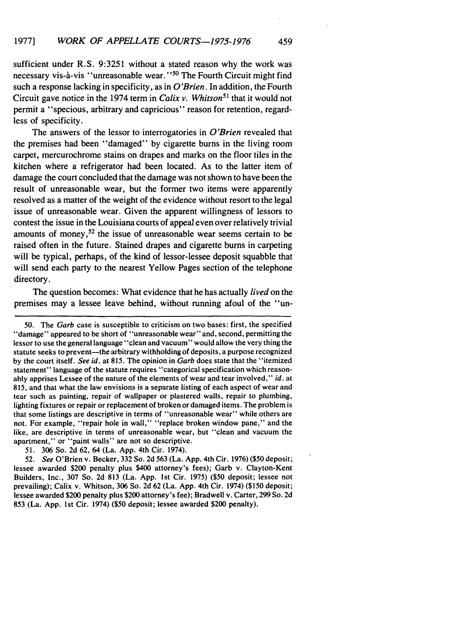sufficient under R.S. **9:3251** without a stated reason why the work was necessary vis-a-vis "unreasonable wear. **"50** The Fourth Circuit might find such a response lacking in specificity, as in *O'Brien.* In addition, the Fourth Circuit gave notice in the 1974 term in *Calix v. Whitson*<sup>51</sup> that it would not permit a "specious, arbitrary and capricious" reason for retention, regardless of specificity.

The answers of the lessor to interrogatories in *O'Brien* revealed that the premises had been "damaged" **by** cigarette burns in the living room carpet, mercurochrome stains on drapes and marks on the floor tiles in the kitchen where a refrigerator had been located. As to the latter item of damage the court concluded that the damage was not shown to have been the result of unreasonable wear, but the former two items were apparently resolved as a matter of the weight of the evidence without resort to the legal issue of unreasonable wear. Given the apparent willingness of lessors to contest the issue in the Louisiana courts of appeal even over relatively trivial amounts of money,52 the issue of unreasonable wear seems certain to **be** raised often in the future. Stained drapes and cigarette burns in carpeting will be typical, perhaps, of the kind of lessor-lessee deposit squabble that will send each party to the nearest Yellow Pages section of the telephone directory.

The question becomes: What evidence that he has actually *lived* on the premises may a lessee leave behind, without running afoul of the "un-

**<sup>50.</sup>** The **Garb** case is susceptible to criticism on two bases: first, the specified "damage" appeared to be short of "unreasonable wear" and, second, permitting the lessor to use the general language "clean and vacuum" would allow the very thing the statute seeks to prevent-the arbitrary withholding of deposits, a purpose recognized **by** the court itself. *See id.* at **815.** The opinion in *Garb* does state that the "itemized statement" language of the statute requires "categorical specification which reasonably apprises Lessee of the nature of the elements of wear and tear involved," *id.* at **815,** and that what the law envisions is a separate listing of each aspect of wear and tear such as painting, repair of wallpaper or plastered walls, repair to plumbing, lighting fixtures or repair or replacement of broken or damaged items. The problem is that some listings are descriptive in terms of "unreasonable wear" while others are not. For example, "repair hole in wall," "replace broken window pane," and the like, are descriptive in terms of unreasonable wear, but "clean and vacuum the apartment," or "paint walls" are not so descriptive.

**<sup>51. 306</sup>** So. **2d 62,** 64 (La. **App.** 4th Cir. 1974).

**<sup>52.</sup>** *See* O'Brien v. Becker, **332** So. **2d 563** (La. **App.** 4th Cir. **1976) (\$50** deposit; lessee awarded \$200 penalty plus \$400 attorney's fees); Garb v. Clayton-Kent Builders, Inc., **307** So. **2d 813** (La. **App. 1st** Cir. **1975) (\$50** deposit; lessee not prevailing); Calix v. Whitson, **306** So. **2d 62** (La. **App.** 4th Cir. 1974) **(\$150** deposit; lessee awarded \$200 penalty plus \$200 attorney's fee); Bradwell v. Carter, **299** So. **2d 853** (La. **App. 1st** Cir. 1974) **(\$50** deposit; lessee awarded \$200 penalty).